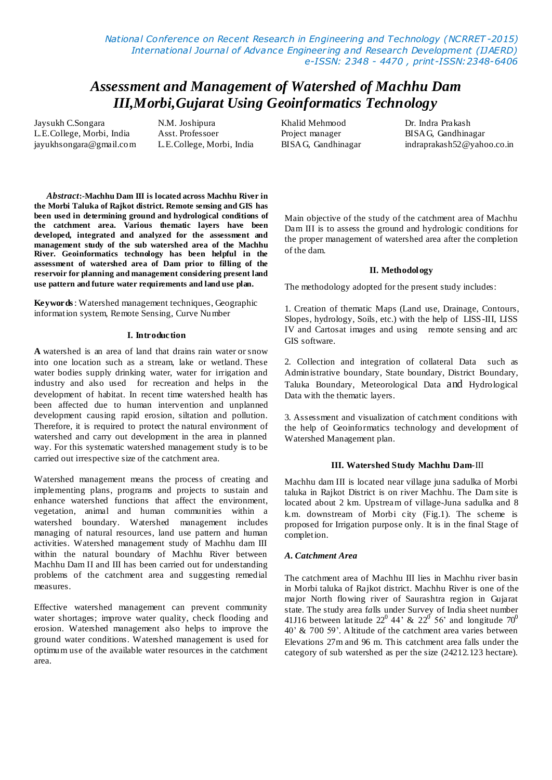*National Conference on Recent Research in Engineering and Technology (NCRRET -2015) International Journal of Advance Engineering and Research Development (IJAERD) e-ISSN: 2348 - 4470 , print-ISSN:2348-6406*

# *Assessment and Management of Watershed of Machhu Dam III,Morbi,Gujarat Using Geoinformatics Technology*

Jaysukh C.Songara L.E.College, Morbi, India jayukhsongara@gmail.com N.M. Joshipura Asst. Professoer L.E.College, Morbi, India

Khalid Mehmood Project manager BISAG, Gandhinagar Dr. Indra Prakash BISAG, Gandhinagar indraprakash52@yahoo.co.in

*Abstract***:-Machhu Dam III is located across Machhu River in the Morbi Taluka of Rajkot district. Remote sensing and GIS has been used in determining ground and hydrological conditions of the catchment area. Various thematic layers have been developed, integrated and analyzed for the assessment and management study of the sub watershed area of the Machhu River. Geoinformatics technology has been helpful in the assessment of watershed area of Dam prior to filling of the reservoir for planning and management considering present land use pattern and future water requirements and land use plan.**

**Keywords**: Watershed management techniques, Geographic information system, Remote Sensing, Curve Number

#### **I. Introduction**

**A** watershed is an area of land that drains rain water or snow into one location such as a stream, lake or wetland. These water bodies supply drinking water, water for irrigation and industry and also used for recreation and helps in the development of habitat. In recent time watershed health has been affected due to human intervention and unplanned development causing rapid erosion, siltation and pollution. Therefore, it is required to protect the natural environment of watershed and carry out development in the area in planned way. For this systematic watershed management study is to be carried out irrespective size of the catchment area.

Watershed management means the process of creating and implementing plans, programs and projects to sustain and enhance watershed functions that affect the environment, vegetation, animal and human communities within a watershed boundary. Watershed management includes managing of natural resources, land use pattern and human activities. Watershed management study of Machhu dam III within the natural boundary of Machhu River between Machhu Dam II and III has been carried out for understanding problems of the catchment area and suggesting remedial measures.

Effective watershed management can prevent community water shortages; improve water quality, check flooding and erosion. Watershed management also helps to improve the ground water conditions. Watershed management is used for optimum use of the available water resources in the catchment area.

Main objective of the study of the catchment area of Machhu Dam III is to assess the ground and hydrologic conditions for the proper management of watershed area after the completion of the dam.

#### **II. Methodology**

The methodology adopted for the present study includes:

1. Creation of thematic Maps (Land use, Drainage, Contours, Slopes, hydrology, Soils, etc.) with the help of LISS-III, LISS IV and Cartosat images and using remote sensing and arc GIS software.

2. Collection and integration of collateral Data such as Administrative boundary, State boundary, District Boundary, Taluka Boundary, Meteorological Data and Hydrological Data with the thematic layers.

3. Assessment and visualization of catchment conditions with the help of Geoinformatics technology and development of Watershed Management plan.

# **III. Watershed Study Machhu Dam**-III

Machhu dam III is located near village juna sadulka of Morbi taluka in Rajkot District is on river Machhu. The Dam site is located about 2 km. Upstream of village-Juna sadulka and 8 k.m. downstream of Morbi city (Fig.1). The scheme is proposed for Irrigation purpose only. It is in the final Stage of completion.

#### *A. Catchment Area*

The catchment area of Machhu III lies in Machhu river basin in Morbi taluka of Rajkot district. Machhu River is one of the major North flowing river of Saurashtra region in Gujarat state. The study area f*a*lls under Survey of India sheet number 41J16 between latitude  $22^0$  44' &  $22^0$  56' and longitude  $70^0$ 40' & 700 59'. Altitude of the catchment area varies between Elevations 27m and 96 m. This catchment area falls under the category of sub watershed as per the size (24212.123 hectare).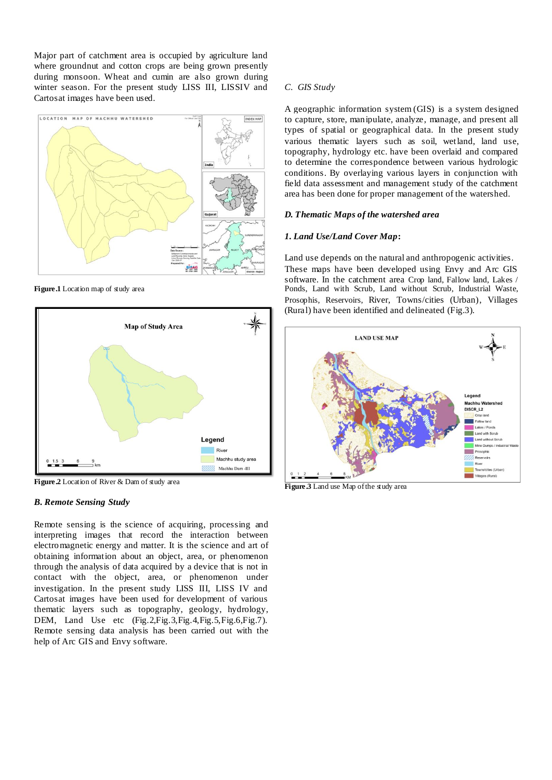Major part of catchment area is occupied by agriculture land where groundnut and cotton crops are being grown presently during monsoon. Wheat and cumin are also grown during winter season. For the present study LISS III, LISSIV and Cartosat images have been used.



**Figure.1** Location map of study area



**Figure.2** Location of River & Dam of study area

# *B. Remote Sensing Study*

Remote sensing is the science of acquiring, processing and interpreting images that record the interaction between electromagnetic energy and matter. It is the science and art of obtaining information about an object, area, or phenomenon through the analysis of data acquired by a device that is not in contact with the object, area, or phenomenon under investigation. In the present study LISS III, LISS IV and Cartosat images have been used for development of various thematic layers such as topography, geology, hydrology, DEM, Land Use etc (Fig.2, Fig.3, Fig.4, Fig.5, Fig.6, Fig.7). Remote sensing data analysis has been carried out with the help of Arc GIS and Envy software.

# *C. GIS Study*

A geographic information system (GIS) is a system designed to capture, store, manipulate, analyze, manage, and present all types of spatial or geographical data. In the present study various thematic layers such as soil, wetland, land use, topography, hydrology etc. have been overlaid and compared to determine the correspondence between various hydrologic conditions. By overlaying various layers in conjunction with field data assessment and management study of the catchment area has been done for proper management of the watershed.

#### *D. Thematic Maps of the watershed area*

# *1. Land Use/Land Cover Map***:**

Land use depends on the natural and anthropogenic activities. These maps have been developed using Envy and Arc GIS software. In the catchment area Crop land, Fallow land, Lakes / Ponds, Land with Scrub, Land without Scrub, Industrial Waste, Prosophis, Reservoirs, River, Towns/cities (Urban), Villages (Rural) have been identified and delineated (Fig.3).



**Figure.3** Land use Map of the study area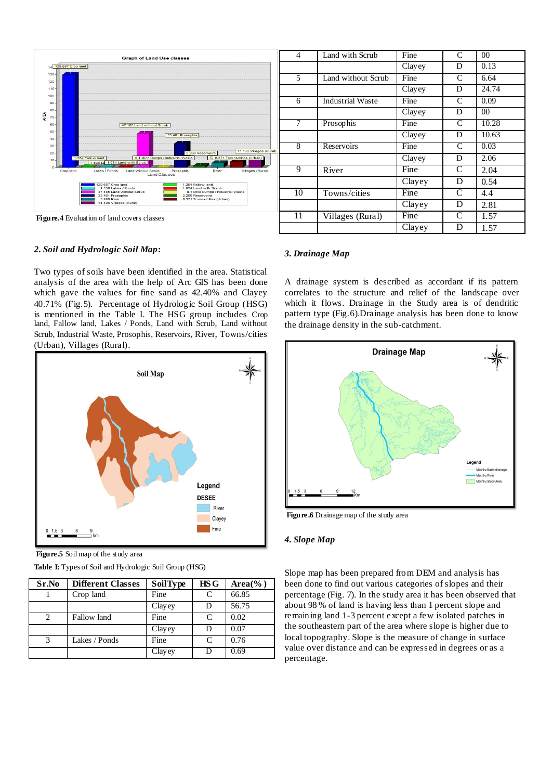

**Figure.4** Evaluation of land covers classes

#### *2. Soil and Hydrologic Soil Map***:**

Two types of soils have been identified in the area. Statistical analysis of the area with the help of Arc GIS has been done which gave the values for fine sand as 42.40% and Clayey 40.71% (Fig.5). Percentage of Hydrologic Soil Group (HSG) is mentioned in the Table I. The HSG group includes Crop land, Fallow land, Lakes / Ponds, Land with Scrub, Land without Scrub, Industrial Waste, Prosophis, Reservoirs, River, Towns/cities (Urban), Villages (Rural).



**Figure.5** Soil map of the study area

| Sr.No                       | <b>Different Classes</b> | SoilType | HSG | $Area(\%)$ |
|-----------------------------|--------------------------|----------|-----|------------|
|                             | Crop land                | Fine     | C   | 66.85      |
|                             |                          | Clayey   | D   | 56.75      |
| $\mathcal{D}_{\mathcal{L}}$ | Fallow land              | Fine     | C   | 0.02       |
|                             |                          | Clayey   | D   | 0.07       |
| 3                           | Lakes / Ponds            | Fine     | C   | 0.76       |
|                             |                          | Clayey   | Ð   | 0.69       |

**Table I:** Types of Soil and Hydrologic Soil Group (HSG)

| 4  | Land with Scrub         | Fine   | $\mathcal{C}$      | 00    |
|----|-------------------------|--------|--------------------|-------|
|    |                         | Clayey | D                  | 0.13  |
| 5  | Land without Scrub      | Fine   | C                  | 6.64  |
|    |                         | Clayey | D                  | 24.74 |
| 6  | <b>Industrial Waste</b> | Fine   | C                  | 0.09  |
|    |                         | Clayey | D                  | 00    |
| 7  | Prosophis               | Fine   | C                  | 10.28 |
|    |                         | Clayey | D                  | 10.63 |
| 8  | Reservoirs              | Fine   | $\overline{\rm c}$ | 0.03  |
|    |                         | Clayey | D                  | 2.06  |
| 9  | River                   | Fine   | C                  | 2.04  |
|    |                         | Clayey | D                  | 0.54  |
| 10 | Towns/cities            | Fine   | C                  | 4.4   |
|    |                         | Clayey | D                  | 2.81  |
| 11 | Villages (Rural)        | Fine   | C                  | 1.57  |
|    |                         | Clayey | D                  | 1.57  |

# *3. Drainage Map*

A drainage system is described as accordant if its pattern correlates to the structure and relief of the landscape over which it flows. Drainage in the Study area is of dendritic pattern type (Fig.6).Drainage analysis has been done to know the drainage density in the sub-catchment.



Figure.6 Drainage map of the study area

#### *4. Slope Map*

Slope map has been prepared from DEM and analysis has been done to find out various categories of slopes and their percentage (Fig. 7). In the study area it has been observed that about 98 % of land is having less than 1 percent slope and remaining land 1-3 percent except a few isolated patches in the southeastern part of the area where slope is higher due to local topography. Slope is the measure of change in surface value over distance and can be expressed in degrees or as a percentage.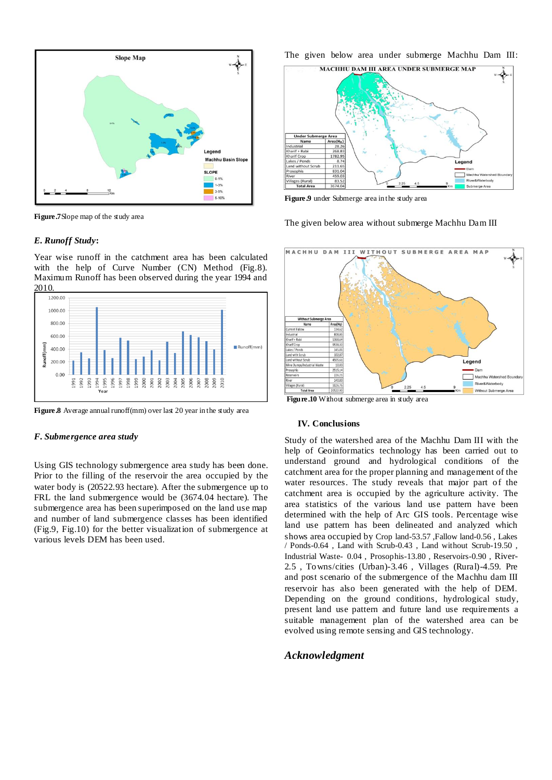

**Figure.7**Slope map of the study area

#### *E. Runoff Study***:**

Year wise runoff in the catchment area has been calculated with the help of Curve Number (CN) Method (Fig.8). Maximum Runoff has been observed during the year 1994 and 2010.



**Figure.8** Average annual runoff(mm) over last 20 year in the study area

#### *F. Submergence area study*

Using GIS technology submergence area study has been done. Prior to the filling of the reservoir the area occupied by the water body is (20522.93 hectare). After the submergence up to FRL the land submergence would be (3674.04 hectare). The submergence area has been superimposed on the land use map and number of land submergence classes has been identified (Fig.9, Fig.10) for the better visualization of submergence at various levels DEM has been used.

The given below area under submerge Machhu Dam III:



**Figure.9** under Submerge area in the study area

The given below area without submerge Machhu Dam III



**Figure.10** Without submerge area in study area

#### **IV. Conclusions**

Study of the watershed area of the Machhu Dam III with the help of Geoinformatics technology has been carried out to understand ground and hydrological conditions of the catchment area for the proper planning and management of the water resources. The study reveals that major part of the catchment area is occupied by the agriculture activity. The area statistics of the various land use pattern have been determined with the help of Arc GIS tools. Percentage wise land use pattern has been delineated and analyzed which shows area occupied by Crop land-53.57 ,Fallow land-0.56 , Lakes / Ponds-0.64 , Land with Scrub-0.43 , Land without Scrub-19.50 , Industrial Waste- 0.04 , Prosophis-13.80 , Reservoirs-0.90 , River-2.5 , Towns/cities (Urban)-3.46 , Villages (Rural)-4.59. Pre and post scenario of the submergence of the Machhu dam III reservoir has also been generated with the help of DEM. Depending on the ground conditions, hydrological study, present land use pattern and future land use requirements a suitable management plan of the watershed area can be evolved using remote sensing and GIS technology.

# *Acknowledgment*